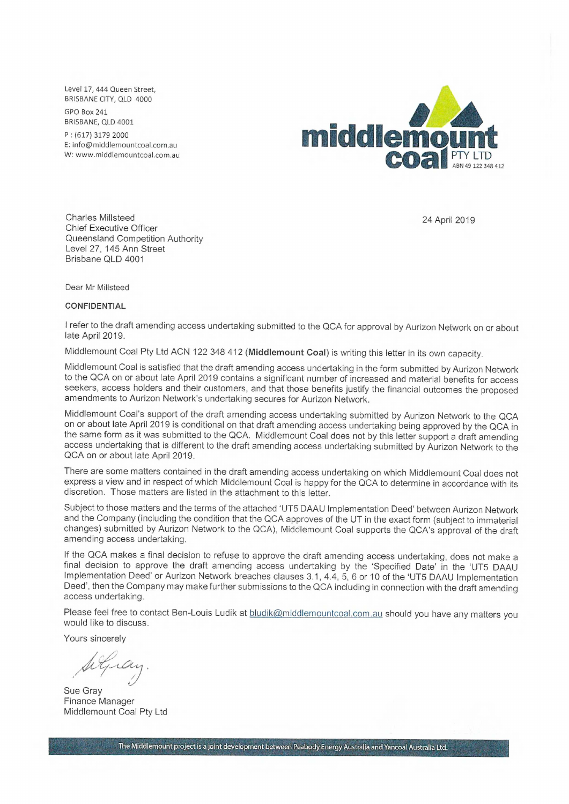Level 17, 444 Queen Street, BRISBANE CITY, OLD 4000

GPO Box 241 BRISBANE, OLD 4001

P : (617) 3179 2000 E: info@middlemountcoal.com.au W: www.middlemountcoal.com.au



Charles Millsteed Chief Executive Officer Queensland Competition Authority Level 27, 145 Ann Street Brisbane QLD 4001

24 April 2019

Dear Mr Millsteed

## **CONFIDENTIAL**

I refer to the draft amending access undertaking submitted to the QCA for approval by Aurizon Network on or about late April 2019.

Middlemount Coal Pty Ltd ACN 122 348 412 **(Middlemount Coal)** is writing this letter in its own capacity.

Middlemount Coal is satisfied that the draft amending access undertaking in the form submitted by Aurizon Network to the QCA on or about late April 2019 contains a significant number of increased and material benefits for access seekers, access holders and their customers, and that those benefits justify the financial outcomes the proposed amendments to Aurizon Network's undertaking secures for Aurizon Network.

Middlemount Coal's support of the draft amending access undertaking submitted by Aurizon Network to the QCA on or about late April 2019 is conditional on that draft amending access undertaking being approved by the QCA in the same form as it was submitted to the QCA. Middlemount Coal does not by this letter support a draft amending access undertaking that is different to the draft amending access undertaking submitted by Aurizon Network to the QCA on or about late April 2019.

There are some matters contained in the draft amending access undertaking on which Middlemount Coal does not express a view and in respect of which Middlemount Coal is happy for the QCA to determine in accordance with its discretion. Those matters are listed in the attachment to this letter.

Subject to those matters and the terms of the attached 'UT5 DAAU Implementation Deed' between Aurizon Network and the Company (including the condition that the QCA approves of the UT in the exact form (subject to immaterial changes) submitted by Aurizon Network to the QCA), Middlemount Coal supports the QCA's approval of the draft amending access undertaking.

If the QCA makes a final decision to refuse to approve the draft amending access undertaking, does not make a final decision to approve the draft amending access undertaking by the 'Specified Date' in the 'UT5 DAAU Implementation Deed' or Aurizon Network breaches clauses 3.1, 4.4, 5, 6 or 10 of the 'UT5 DAAU Implementation Deed', then the Company may make further submissions to the QCA including in connection with the draft amending access undertaking.

Please feel free to contact Ben-Louis Ludik at bludik@middlemountcoal.com.au should you have any matters you would like to discuss.

Yours sincerely

Sue Gray Finance Manager Middlemount Coal Pty Ltd